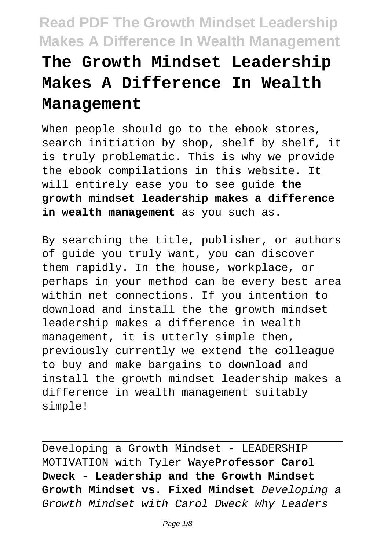# **The Growth Mindset Leadership Makes A Difference In Wealth Management**

When people should go to the ebook stores, search initiation by shop, shelf by shelf, it is truly problematic. This is why we provide the ebook compilations in this website. It will entirely ease you to see guide **the growth mindset leadership makes a difference in wealth management** as you such as.

By searching the title, publisher, or authors of guide you truly want, you can discover them rapidly. In the house, workplace, or perhaps in your method can be every best area within net connections. If you intention to download and install the the growth mindset leadership makes a difference in wealth management, it is utterly simple then, previously currently we extend the colleague to buy and make bargains to download and install the growth mindset leadership makes a difference in wealth management suitably simple!

Developing a Growth Mindset - LEADERSHIP MOTIVATION with Tyler Waye**Professor Carol Dweck - Leadership and the Growth Mindset Growth Mindset vs. Fixed Mindset** Developing a Growth Mindset with Carol Dweck Why Leaders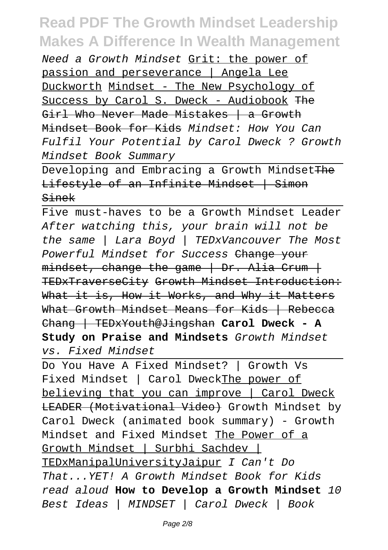Need a Growth Mindset Grit: the power of passion and perseverance | Angela Lee Duckworth Mindset - The New Psychology of Success by Carol S. Dweck - Audiobook The Girl Who Never Made Mistakes | a Growth Mindset Book for Kids Mindset: How You Can Fulfil Your Potential by Carol Dweck ? Growth Mindset Book Summary

Developing and Embracing a Growth Mindset The Lifestyle of an Infinite Mindset | Simon Sinek

Five must-haves to be a Growth Mindset Leader After watching this, your brain will not be the same | Lara Boyd | TEDxVancouver The Most Powerful Mindset for Success Change your  $mindset$ , change the game | Dr. Alia Crum | TEDxTraverseCity Growth Mindset Introduction: What it is, How it Works, and Why it Matters What Growth Mindset Means for Kids | Rebecca Chang | TEDxYouth@Jingshan **Carol Dweck - A Study on Praise and Mindsets** Growth Mindset vs. Fixed Mindset

Do You Have A Fixed Mindset? | Growth Vs Fixed Mindset | Carol DweckThe power of believing that you can improve | Carol Dweck LEADER (Motivational Video) Growth Mindset by Carol Dweck (animated book summary) - Growth Mindset and Fixed Mindset The Power of a Growth Mindset | Surbhi Sachdev | TEDxManipalUniversityJaipur I Can't Do That...YET! A Growth Mindset Book for Kids read aloud **How to Develop a Growth Mindset** 10 Best Ideas | MINDSET | Carol Dweck | Book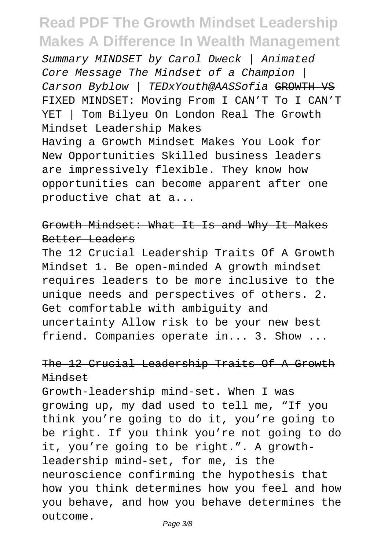Summary MINDSET by Carol Dweck | Animated Core Message The Mindset of a Champion | Carson Byblow | TEDxYouth@AASSofia GROWTH VS FIXED MINDSET: Moving From I CAN'T To I CAN'T YET | Tom Bilyeu On London Real The Growth Mindset Leadership Makes

Having a Growth Mindset Makes You Look for New Opportunities Skilled business leaders are impressively flexible. They know how opportunities can become apparent after one productive chat at a...

### Growth Mindset: What It Is and Why It Makes Better Leaders

The 12 Crucial Leadership Traits Of A Growth Mindset 1. Be open-minded A growth mindset requires leaders to be more inclusive to the unique needs and perspectives of others. 2. Get comfortable with ambiguity and uncertainty Allow risk to be your new best friend. Companies operate in... 3. Show ...

### The 12 Crucial Leadership Traits Of A Growth Mindset

Growth-leadership mind-set. When I was growing up, my dad used to tell me, "If you think you're going to do it, you're going to be right. If you think you're not going to do it, you're going to be right.". A growthleadership mind-set, for me, is the neuroscience confirming the hypothesis that how you think determines how you feel and how you behave, and how you behave determines the outcome.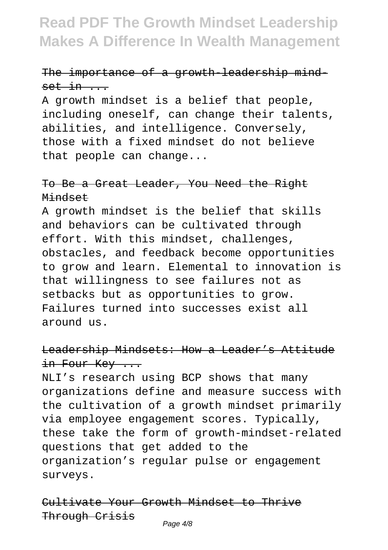### The importance of a growth-leadership mind $set in$ ...

A growth mindset is a belief that people, including oneself, can change their talents, abilities, and intelligence. Conversely, those with a fixed mindset do not believe that people can change...

### To Be a Great Leader, You Need the Right Mindset

A growth mindset is the belief that skills and behaviors can be cultivated through effort. With this mindset, challenges, obstacles, and feedback become opportunities to grow and learn. Elemental to innovation is that willingness to see failures not as setbacks but as opportunities to grow. Failures turned into successes exist all around us.

### Leadership Mindsets: How a Leader's Attitude in Four Key ...

NLI's research using BCP shows that many organizations define and measure success with the cultivation of a growth mindset primarily via employee engagement scores. Typically, these take the form of growth-mindset-related questions that get added to the organization's regular pulse or engagement surveys.

Cultivate Your Growth Mindset to Thrive Through Crisis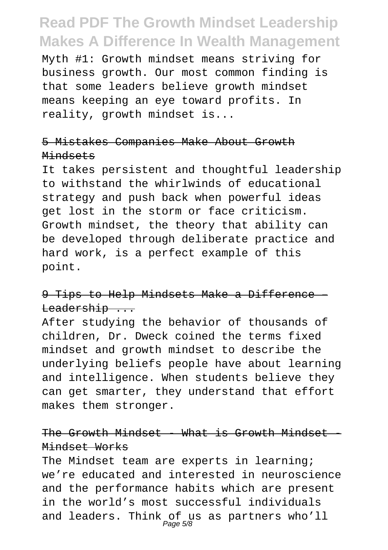Myth #1: Growth mindset means striving for business growth. Our most common finding is that some leaders believe growth mindset means keeping an eye toward profits. In reality, growth mindset is...

### 5 Mistakes Companies Make About Growth Mindsets

It takes persistent and thoughtful leadership to withstand the whirlwinds of educational strategy and push back when powerful ideas get lost in the storm or face criticism. Growth mindset, the theory that ability can be developed through deliberate practice and hard work, is a perfect example of this point.

### 9 Tips to Help Mindsets Make a Difference Leadership ...

After studying the behavior of thousands of children, Dr. Dweck coined the terms fixed mindset and growth mindset to describe the underlying beliefs people have about learning and intelligence. When students believe they can get smarter, they understand that effort makes them stronger.

### The Growth Mindset - What is Growth Mindset Mindset Works

The Mindset team are experts in learning; we're educated and interested in neuroscience and the performance habits which are present in the world's most successful individuals and leaders. Think of us as partners who'll<br>Page 5/8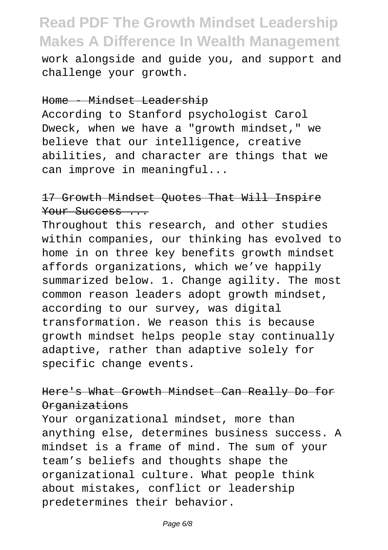work alongside and guide you, and support and challenge your growth.

#### Home - Mindset Leadership

According to Stanford psychologist Carol Dweck, when we have a "growth mindset," we believe that our intelligence, creative abilities, and character are things that we can improve in meaningful...

### 17 Growth Mindset Quotes That Will Inspire Your Success ...

Throughout this research, and other studies within companies, our thinking has evolved to home in on three key benefits growth mindset affords organizations, which we've happily summarized below. 1. Change agility. The most common reason leaders adopt growth mindset, according to our survey, was digital transformation. We reason this is because growth mindset helps people stay continually adaptive, rather than adaptive solely for specific change events.

### Here's What Growth Mindset Can Really Do for Organizations

Your organizational mindset, more than anything else, determines business success. A mindset is a frame of mind. The sum of your team's beliefs and thoughts shape the organizational culture. What people think about mistakes, conflict or leadership predetermines their behavior.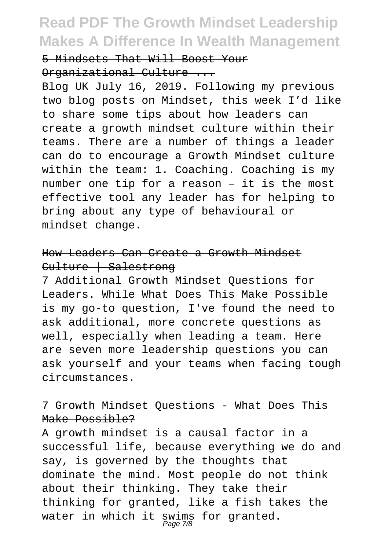#### 5 Mindsets That Will Boost Your

#### Organizational Culture ...

Blog UK July 16, 2019. Following my previous two blog posts on Mindset, this week I'd like to share some tips about how leaders can create a growth mindset culture within their teams. There are a number of things a leader can do to encourage a Growth Mindset culture within the team: 1. Coaching. Coaching is my number one tip for a reason – it is the most effective tool any leader has for helping to bring about any type of behavioural or mindset change.

### How Leaders Can Create a Growth Mindset Culture | Salestrong

7 Additional Growth Mindset Questions for Leaders. While What Does This Make Possible is my go-to question, I've found the need to ask additional, more concrete questions as well, especially when leading a team. Here are seven more leadership questions you can ask yourself and your teams when facing tough circumstances.

### 7 Growth Mindset Questions - What Does This Make Possible?

A growth mindset is a causal factor in a successful life, because everything we do and say, is governed by the thoughts that dominate the mind. Most people do not think about their thinking. They take their thinking for granted, like a fish takes the water in which it swims for granted.<br>Page 7/8